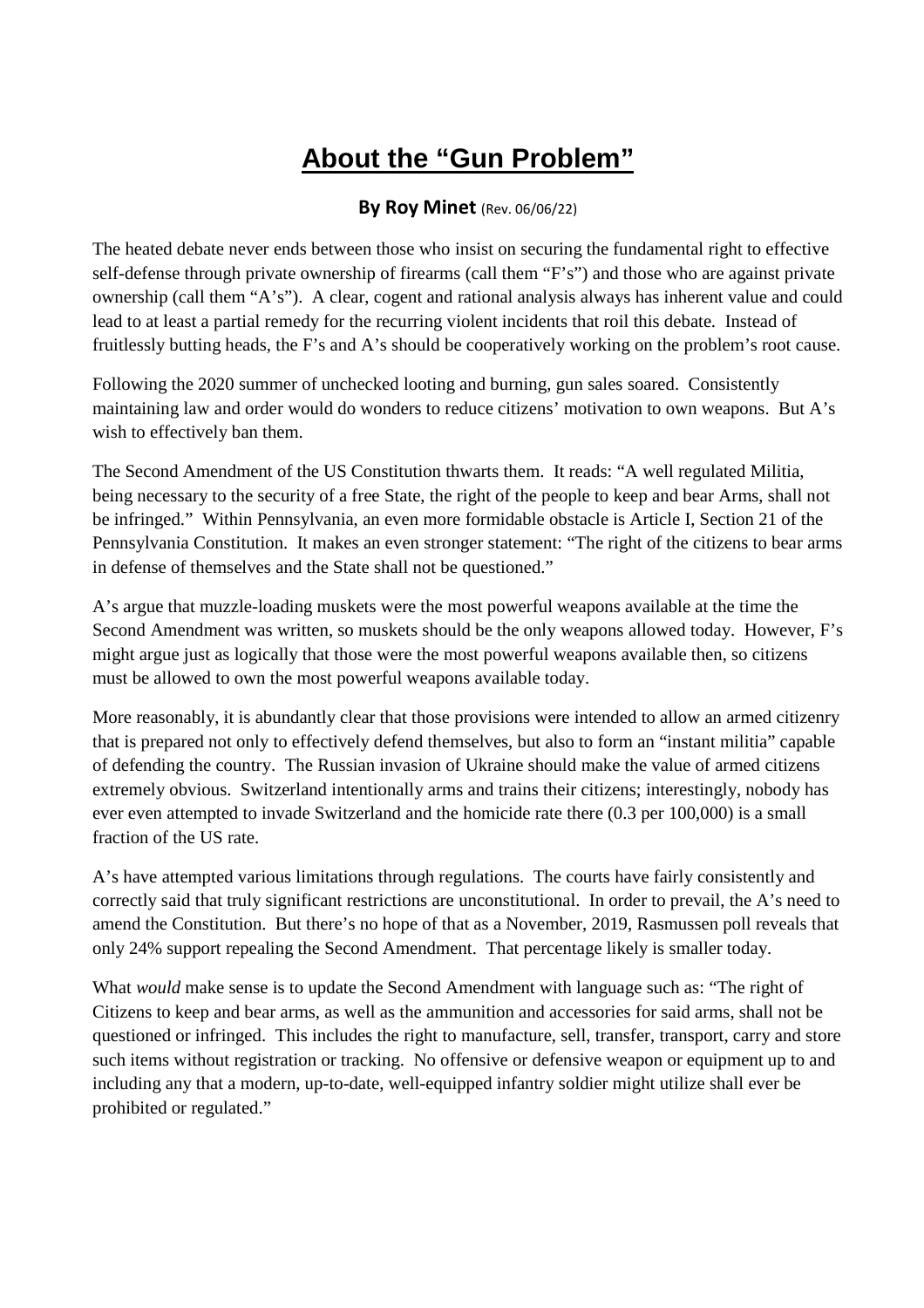## **About the "Gun Problem"**

## **By Roy Minet** (Rev. 06/06/22)

The heated debate never ends between those who insist on securing the fundamental right to effective self-defense through private ownership of firearms (call them "F's") and those who are against private ownership (call them "A's"). A clear, cogent and rational analysis always has inherent value and could lead to at least a partial remedy for the recurring violent incidents that roil this debate. Instead of fruitlessly butting heads, the F's and A's should be cooperatively working on the problem's root cause.

Following the 2020 summer of unchecked looting and burning, gun sales soared. Consistently maintaining law and order would do wonders to reduce citizens' motivation to own weapons. But A's wish to effectively ban them.

The Second Amendment of the US Constitution thwarts them. It reads: "A well regulated Militia, being necessary to the security of a free State, the right of the people to keep and bear Arms, shall not be infringed." Within Pennsylvania, an even more formidable obstacle is Article I, Section 21 of the Pennsylvania Constitution. It makes an even stronger statement: "The right of the citizens to bear arms in defense of themselves and the State shall not be questioned."

A's argue that muzzle-loading muskets were the most powerful weapons available at the time the Second Amendment was written, so muskets should be the only weapons allowed today. However, F's might argue just as logically that those were the most powerful weapons available then, so citizens must be allowed to own the most powerful weapons available today.

More reasonably, it is abundantly clear that those provisions were intended to allow an armed citizenry that is prepared not only to effectively defend themselves, but also to form an "instant militia" capable of defending the country. The Russian invasion of Ukraine should make the value of armed citizens extremely obvious. Switzerland intentionally arms and trains their citizens; interestingly, nobody has ever even attempted to invade Switzerland and the homicide rate there (0.3 per 100,000) is a small fraction of the US rate.

A's have attempted various limitations through regulations. The courts have fairly consistently and correctly said that truly significant restrictions are unconstitutional. In order to prevail, the A's need to amend the Constitution. But there's no hope of that as a November, 2019, Rasmussen poll reveals that only 24% support repealing the Second Amendment. That percentage likely is smaller today.

What *would* make sense is to update the Second Amendment with language such as: "The right of Citizens to keep and bear arms, as well as the ammunition and accessories for said arms, shall not be questioned or infringed. This includes the right to manufacture, sell, transfer, transport, carry and store such items without registration or tracking. No offensive or defensive weapon or equipment up to and including any that a modern, up-to-date, well-equipped infantry soldier might utilize shall ever be prohibited or regulated."